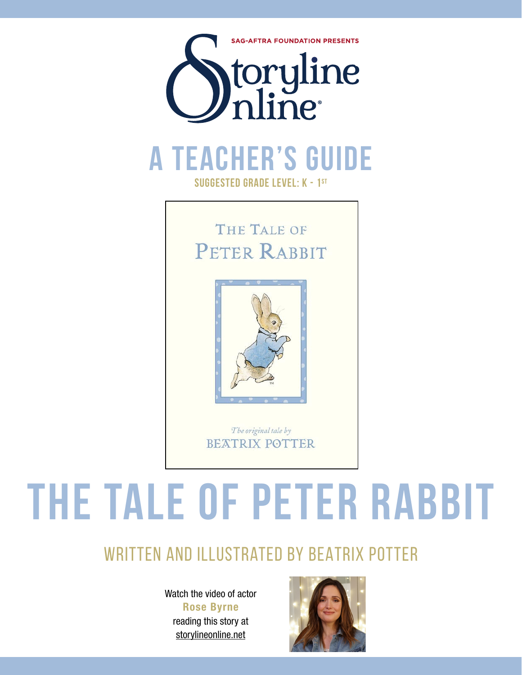

THE TALE OF PETER RABBIT



The original tale by **BEATRIX POTTER** 

# **the tale of peter rabbit**

### WRITTEN AND ILLUSTRATED BY BEATRIX POTTER

Watch the video of actor Rose Byrne reading this story at storylineonline.net

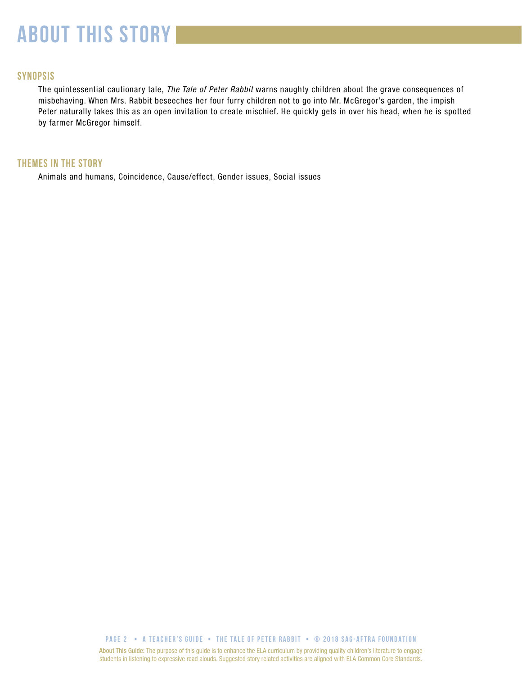## **about this story**

#### **SYNOPSIS**

The quintessential cautionary tale, *The Tale of Peter Rabbit* warns naughty children about the grave consequences of misbehaving. When Mrs. Rabbit beseeches her four furry children not to go into Mr. McGregor's garden, the impish Peter naturally takes this as an open invitation to create mischief. He quickly gets in over his head, when he is spotted by farmer McGregor himself.

#### **THEMES IN THE STORY**

Animals and humans, Coincidence, Cause/effect, Gender issues, Social issues

**PAGE 2 • A teacher's GUIDE • THE TALE OF PETER RABBIT • © 2018 SAG-AFTRA FOUNDATION**

About This Guide: The purpose of this guide is to enhance the ELA curriculum by providing quality children's literature to engage students in listening to expressive read alouds. Suggested story related activities are aligned with ELA Common Core Standards.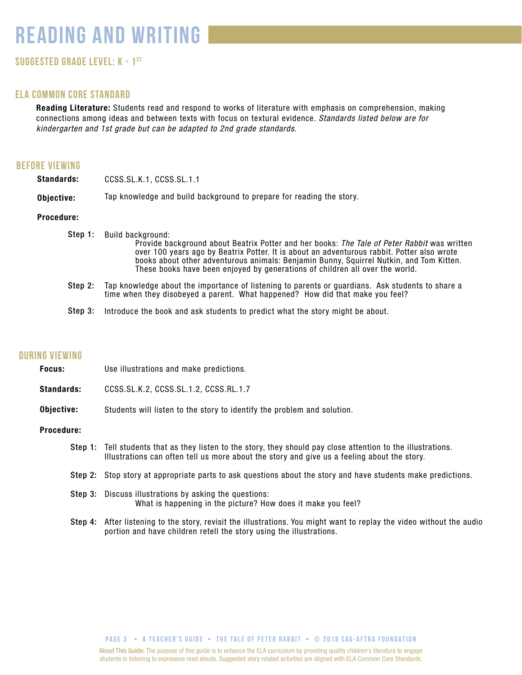### **reading and writing**

#### **Suggested grade level: K - 1st**

#### **ela common core standard**

Reading Literature: Students read and respond to works of literature with emphasis on comprehension, making connections among ideas and between texts with focus on textural evidence. *Standards listed below are for kindergarten and 1st grade but can be adapted to 2nd grade standards.*

#### **before viewing**

| <b>Standards:</b> | CCSS.SL.K.1, CCSS.SL.1.1                                                                                                                                                                                                                                                                                                                                                                  |
|-------------------|-------------------------------------------------------------------------------------------------------------------------------------------------------------------------------------------------------------------------------------------------------------------------------------------------------------------------------------------------------------------------------------------|
| Objective:        | Tap knowledge and build background to prepare for reading the story.                                                                                                                                                                                                                                                                                                                      |
| Procedure:        |                                                                                                                                                                                                                                                                                                                                                                                           |
| Step 1:           | Build background:<br>Provide background about Beatrix Potter and her books: The Tale of Peter Rabbit was written<br>over 100 years ago by Beatrix Potter. It is about an adventurous rabbit. Potter also wrote<br>books about other adventurous animals: Benjamin Bunny, Squirrel Nutkin, and Tom Kitten.<br>These books have been enjoyed by generations of children all over the world. |

- Step 2: Tap knowledge about the importance of listening to parents or guardians. Ask students to share a time when they disobeyed a parent. What happened? How did that make you feel?
- Step 3: Introduce the book and ask students to predict what the story might be about.

#### **during viewing**

| Focus:            | Use illustrations and make predictions.                                                                                                                                                                      |
|-------------------|--------------------------------------------------------------------------------------------------------------------------------------------------------------------------------------------------------------|
| <b>Standards:</b> | CCSS.SL.K.2, CCSS.SL.1.2, CCSS.RL.1.7                                                                                                                                                                        |
| Objective:        | Students will listen to the story to identify the problem and solution.                                                                                                                                      |
| <b>Procedure:</b> |                                                                                                                                                                                                              |
|                   | Step 1: Tell students that as they listen to the story, they should pay close attention to the illustrations.<br>Illustrations can often tell us more about the story and give us a feeling about the story. |

- Step 2: Stop story at appropriate parts to ask questions about the story and have students make predictions.
- Step 3: Discuss illustrations by asking the questions: What is happening in the picture? How does it make you feel?
- Step 4: After listening to the story, revisit the illustrations. You might want to replay the video without the audio portion and have children retell the story using the illustrations.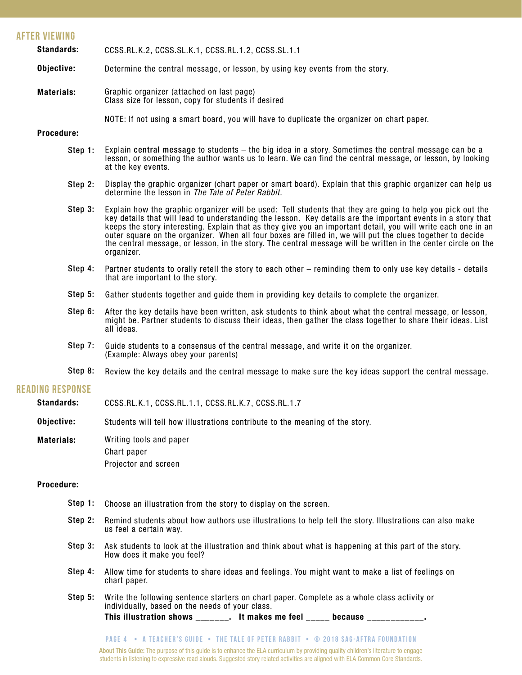|                   | <b>Standards:</b>       | CCSS.RL.K.2, CCSS.SL.K.1, CCSS.RL.1.2, CCSS.SL.1.1                                                                                                                                                                                                                                                                                                                                                                                                                                                                                                                                       |
|-------------------|-------------------------|------------------------------------------------------------------------------------------------------------------------------------------------------------------------------------------------------------------------------------------------------------------------------------------------------------------------------------------------------------------------------------------------------------------------------------------------------------------------------------------------------------------------------------------------------------------------------------------|
|                   | Objective:              | Determine the central message, or lesson, by using key events from the story.                                                                                                                                                                                                                                                                                                                                                                                                                                                                                                            |
| <b>Materials:</b> |                         | Graphic organizer (attached on last page)<br>Class size for lesson, copy for students if desired                                                                                                                                                                                                                                                                                                                                                                                                                                                                                         |
|                   |                         | NOTE: If not using a smart board, you will have to duplicate the organizer on chart paper.                                                                                                                                                                                                                                                                                                                                                                                                                                                                                               |
|                   | Procedure:              |                                                                                                                                                                                                                                                                                                                                                                                                                                                                                                                                                                                          |
|                   | Step 1:                 | Explain central message to students – the big idea in a story. Sometimes the central message can be a<br>lesson, or something the author wants us to learn. We can find the central message, or lesson, by looking<br>at the key events.                                                                                                                                                                                                                                                                                                                                                 |
|                   | Step 2:                 | Display the graphic organizer (chart paper or smart board). Explain that this graphic organizer can help us<br>determine the lesson in The Tale of Peter Rabbit.                                                                                                                                                                                                                                                                                                                                                                                                                         |
|                   | Step 3:                 | Explain how the graphic organizer will be used: Tell students that they are going to help you pick out the<br>key details that will lead to understanding the lesson. Key details are the important events in a story that<br>keeps the story interesting. Explain that as they give you an important detail, you will write each one in an<br>outer square on the organizer. When all four boxes are filled in, we will put the clues together to decide<br>the central message, or lesson, in the story. The central message will be written in the center circle on the<br>organizer. |
|                   | Step 4:                 | Partner students to orally retell the story to each other – reminding them to only use key details - details<br>that are important to the story.                                                                                                                                                                                                                                                                                                                                                                                                                                         |
|                   | Step 5:                 | Gather students together and guide them in providing key details to complete the organizer.                                                                                                                                                                                                                                                                                                                                                                                                                                                                                              |
|                   | Step 6:                 | After the key details have been written, ask students to think about what the central message, or lesson,<br>might be. Partner students to discuss their ideas, then gather the class together to share their ideas. List<br>all ideas.                                                                                                                                                                                                                                                                                                                                                  |
|                   | Step 7:                 | Guide students to a consensus of the central message, and write it on the organizer.<br>(Example: Always obey your parents)                                                                                                                                                                                                                                                                                                                                                                                                                                                              |
|                   | Step 8:                 | Review the key details and the central message to make sure the key ideas support the central message.                                                                                                                                                                                                                                                                                                                                                                                                                                                                                   |
|                   | <b>READING RESPONSE</b> |                                                                                                                                                                                                                                                                                                                                                                                                                                                                                                                                                                                          |
|                   | <b>Standards:</b>       | CCSS.RL.K.1, CCSS.RL.1.1, CCSS.RL.K.7, CCSS.RL.1.7                                                                                                                                                                                                                                                                                                                                                                                                                                                                                                                                       |
|                   | Objective:              | Students will tell how illustrations contribute to the meaning of the story.                                                                                                                                                                                                                                                                                                                                                                                                                                                                                                             |
|                   |                         |                                                                                                                                                                                                                                                                                                                                                                                                                                                                                                                                                                                          |

Materials: Writing tools and paper Chart paper Projector and screen

#### Procedure:

**after viewing**

- Step 1: Choose an illustration from the story to display on the screen.
- Step 2: Remind students about how authors use illustrations to help tell the story. Illustrations can also make us feel a certain way.
- Step 3: Ask students to look at the illustration and think about what is happening at this part of the story. How does it make you feel?
- Step 4: Allow time for students to share ideas and feelings. You might want to make a list of feelings on chart paper.
- Step 5: Write the following sentence starters on chart paper. Complete as a whole class activity or individually, based on the needs of your class. This illustration shows \_\_\_\_\_\_\_. It makes me feel \_\_\_\_\_ because \_\_\_\_\_\_\_\_\_\_\_.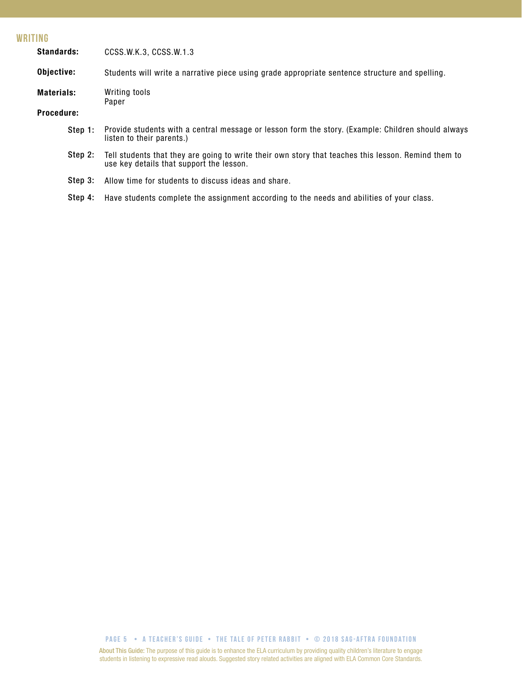#### **writing**

| <b>Standards:</b> | CCSS.W.K.3, CCSS.W.1.3                                                                                                                          |
|-------------------|-------------------------------------------------------------------------------------------------------------------------------------------------|
| Objective:        | Students will write a narrative piece using grade appropriate sentence structure and spelling.                                                  |
| <b>Materials:</b> | Writing tools<br>Paper                                                                                                                          |
| <b>Procedure:</b> |                                                                                                                                                 |
| Step 1:           | Provide students with a central message or lesson form the story. (Example: Children should always<br>listen to their parents.)                 |
| Step 2:           | Tell students that they are going to write their own story that teaches this lesson. Remind them to<br>use key details that support the lesson. |
| Step 3:           | Allow time for students to discuss ideas and share.                                                                                             |
| Step 4:           | Have students complete the assignment according to the needs and abilities of your class.                                                       |
|                   |                                                                                                                                                 |

**PAGE 5 • A teacher's GUIDE • THE TALE OF PETER RABBIT • © 2018 SAG-AFTRA FOUNDATION**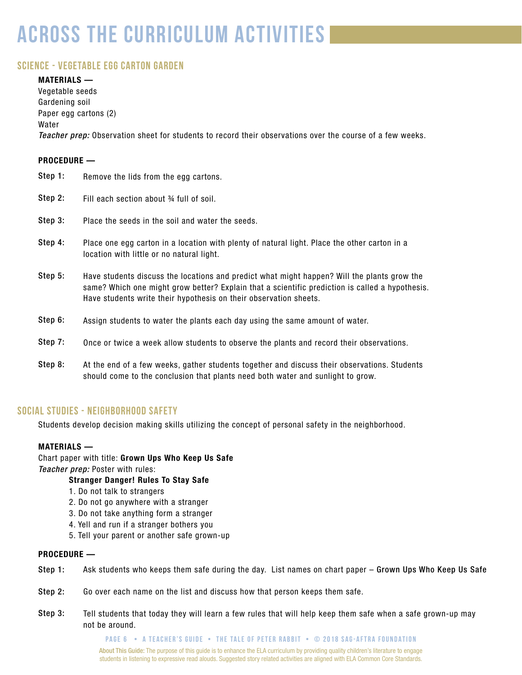### **across the curriculum activities**

#### **science - VEGETABLE EGG CARTON GARDEN**

#### MATERIALS —

Vegetable seeds Gardening soil Paper egg cartons (2) Water *Teacher prep:* Observation sheet for students to record their observations over the course of a few weeks.

#### PROCEDURE —

| Step 1: | Remove the lids from the egg cartons.                                                                                                                                                                                                                               |
|---------|---------------------------------------------------------------------------------------------------------------------------------------------------------------------------------------------------------------------------------------------------------------------|
| Step 2: | Fill each section about 34 full of soil.                                                                                                                                                                                                                            |
| Step 3: | Place the seeds in the soil and water the seeds.                                                                                                                                                                                                                    |
| Step 4: | Place one egg carton in a location with plenty of natural light. Place the other carton in a<br>location with little or no natural light.                                                                                                                           |
| Step 5: | Have students discuss the locations and predict what might happen? Will the plants grow the<br>same? Which one might grow better? Explain that a scientific prediction is called a hypothesis.<br>Have students write their hypothesis on their observation sheets. |
| Step 6: | Assign students to water the plants each day using the same amount of water.                                                                                                                                                                                        |
| Step 7: | Once or twice a week allow students to observe the plants and record their observations.                                                                                                                                                                            |
| Step 8: | At the end of a few weeks, gather students together and discuss their observations. Students<br>should come to the conclusion that plants need both water and sunlight to grow.                                                                                     |

#### **social studies - Neighborhood Safety**

Students develop decision making skills utilizing the concept of personal safety in the neighborhood.

#### MATERIALS —

Chart paper with title: Grown Ups Who Keep Us Safe *Teacher prep:* Poster with rules:

#### Stranger Danger! Rules To Stay Safe

- 1. Do not talk to strangers
- 2. Do not go anywhere with a stranger
- 3. Do not take anything form a stranger
- 4. Yell and run if a stranger bothers you
- 5. Tell your parent or another safe grown-up

#### PROCEDURE —

- Ask students who keeps them safe during the day. List names on chart paper Grown Ups Who Keep Us Safe Step 1:
- Go over each name on the list and discuss how that person keeps them safe. Step 2:
- Tell students that today they will learn a few rules that will help keep them safe when a safe grown-up may not be around. Step 3:

About This Guide: The purpose of this guide is to enhance the ELA curriculum by providing quality children's literature to engage students in listening to expressive read alouds. Suggested story related activities are aligned with ELA Common Core Standards. **PAGE 6 • A teacher's GUIDE • THE TALE OF PETER RABBIT • © 2018 SAG-AFTRA FOUNDATION**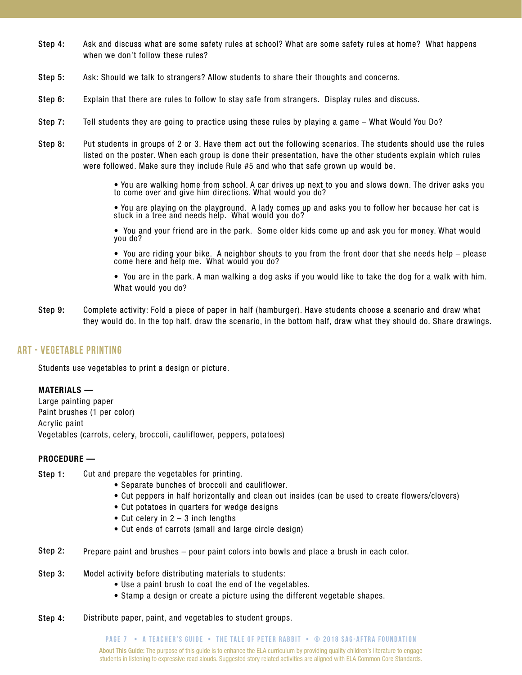- Ask and discuss what are some safety rules at school? What are some safety rules at home? What happens when we don't follow these rules? Step 4:
- Ask: Should we talk to strangers? Allow students to share their thoughts and concerns. Step 5:
- Explain that there are rules to follow to stay safe from strangers. Display rules and discuss. Step 6:
- Tell students they are going to practice using these rules by playing a game What Would You Do? Step 7:
- Put students in groups of 2 or 3. Have them act out the following scenarios. The students should use the rules listed on the poster. When each group is done their presentation, have the other students explain which rules were followed. Make sure they include Rule #5 and who that safe grown up would be. Step 8:

• You are walking home from school. A car drives up next to you and slows down. The driver asks you to come over and give him directions. What would you do?

• You are playing on the playground. A lady comes up and asks you to follow her because her cat is stuck in a tree and needs help. What would you do?

• You and your friend are in the park. Some older kids come up and ask you for money. What would you do?

• You are riding your bike. A neighbor shouts to you from the front door that she needs help – please come here and help me. What would you do?

- You are in the park. A man walking a dog asks if you would like to take the dog for a walk with him. What would you do?
- Complete activity: Fold a piece of paper in half (hamburger). Have students choose a scenario and draw what they would do. In the top half, draw the scenario, in the bottom half, draw what they should do. Share drawings. Step 9:

#### **ART - VEGETABLE PRINTING**

Students use vegetables to print a design or picture.

#### MATERIALS —

Large painting paper Paint brushes (1 per color) Acrylic paint Vegetables (carrots, celery, broccoli, cauliflower, peppers, potatoes)

#### PROCEDURE —

- Cut and prepare the vegetables for printing. Step 1:
	- Separate bunches of broccoli and cauliflower.
	- Cut peppers in half horizontally and clean out insides (can be used to create flowers/clovers)
	- Cut potatoes in quarters for wedge designs
	- Cut celery in  $2 3$  inch lengths
	- Cut ends of carrots (small and large circle design)
- Prepare paint and brushes pour paint colors into bowls and place a brush in each color. Step 2:
- Model activity before distributing materials to students: Step 3:
	- Use a paint brush to coat the end of the vegetables.
	- Stamp a design or create a picture using the different vegetable shapes.
- Distribute paper, paint, and vegetables to student groups. Step 4: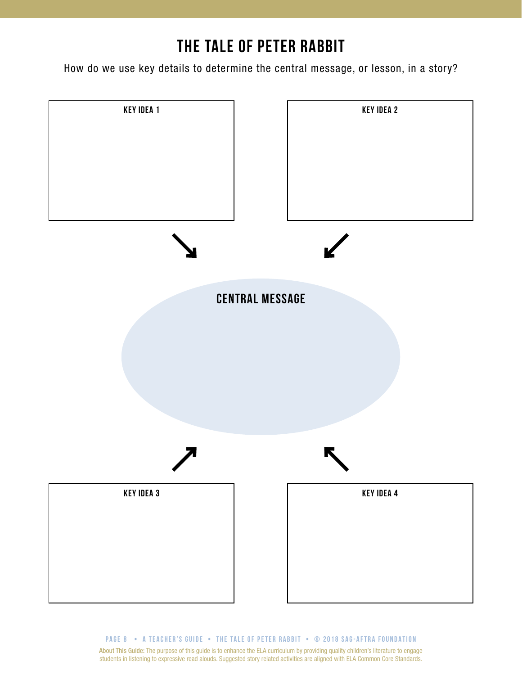### **the tale of peter rabbit**

How do we use key details to determine the central message, or lesson, in a story?



**PAGE 8 • A teacher's GUIDE • THE TALE OF PETER RABBIT • © 2018 SAG-AFTRA FOUNDATION**

About This Guide: The purpose of this guide is to enhance the ELA curriculum by providing quality children's literature to engage students in listening to expressive read alouds. Suggested story related activities are aligned with ELA Common Core Standards.